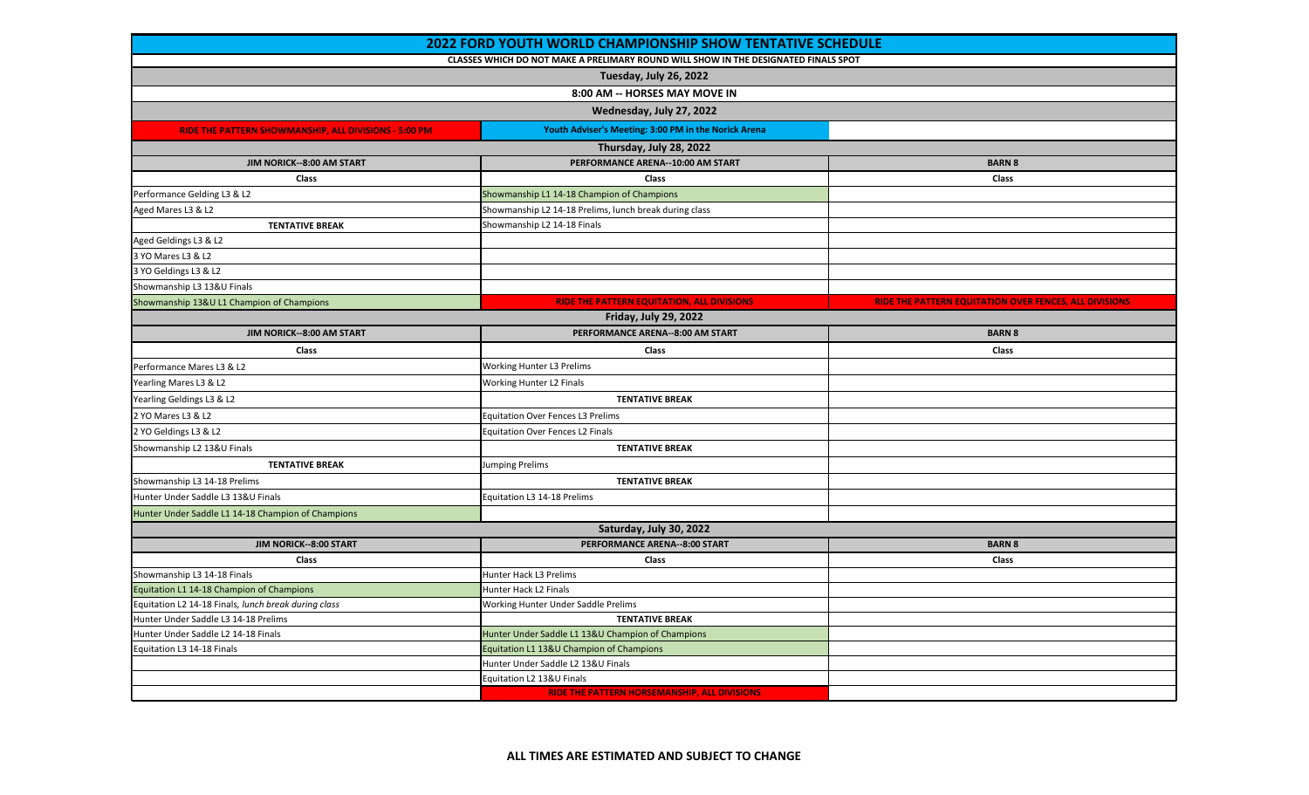| <b>2022 FORD YOUTH WORLD CHAMPIONSHIP SHOW TENTATIVE SCHEDULE</b> |                                                                                     |                                                        |  |  |
|-------------------------------------------------------------------|-------------------------------------------------------------------------------------|--------------------------------------------------------|--|--|
|                                                                   | CLASSES WHICH DO NOT MAKE A PRELIMARY ROUND WILL SHOW IN THE DESIGNATED FINALS SPOT |                                                        |  |  |
|                                                                   | Tuesday, July 26, 2022                                                              |                                                        |  |  |
|                                                                   | 8:00 AM -- HORSES MAY MOVE IN                                                       |                                                        |  |  |
| Wednesday, July 27, 2022                                          |                                                                                     |                                                        |  |  |
| RIDE THE PATTERN SHOWMANSHIP, ALL DIVISIONS - 5:00 PM             | Youth Adviser's Meeting: 3:00 PM in the Norick Arena                                |                                                        |  |  |
| Thursday, July 28, 2022                                           |                                                                                     |                                                        |  |  |
| JIM NORICK--8:00 AM START                                         | PERFORMANCE ARENA--10:00 AM START                                                   | <b>BARN 8</b>                                          |  |  |
| Class                                                             | Class                                                                               | Class                                                  |  |  |
| Performance Gelding L3 & L2                                       | Showmanship L1 14-18 Champion of Champions                                          |                                                        |  |  |
| Aged Mares L3 & L2                                                | Showmanship L2 14-18 Prelims, lunch break during class                              |                                                        |  |  |
| <b>TENTATIVE BREAK</b>                                            | Showmanship L2 14-18 Finals                                                         |                                                        |  |  |
| Aged Geldings L3 & L2                                             |                                                                                     |                                                        |  |  |
| 3 YO Mares L3 & L2                                                |                                                                                     |                                                        |  |  |
| 3 YO Geldings L3 & L2                                             |                                                                                     |                                                        |  |  |
| Showmanship L3 13&U Finals                                        |                                                                                     |                                                        |  |  |
| Showmanship 13&U L1 Champion of Champions                         | RIDE THE PATTERN EQUITATION, ALL DIVISIONS                                          | RIDE THE PATTERN EQUITATION OVER FENCES, ALL DIVISIONS |  |  |
|                                                                   | <b>Friday, July 29, 2022</b>                                                        |                                                        |  |  |
| JIM NORICK--8:00 AM START                                         | PERFORMANCE ARENA--8:00 AM START                                                    | <b>BARN 8</b>                                          |  |  |
| Class                                                             | Class                                                                               | Class                                                  |  |  |
| Performance Mares L3 & L2                                         | <b>Working Hunter L3 Prelims</b>                                                    |                                                        |  |  |
| Yearling Mares L3 & L2                                            | Working Hunter L2 Finals                                                            |                                                        |  |  |
| Yearling Geldings L3 & L2                                         | <b>TENTATIVE BREAK</b>                                                              |                                                        |  |  |
| 2 YO Mares L3 & L2                                                | <b>Equitation Over Fences L3 Prelims</b>                                            |                                                        |  |  |
| 2 YO Geldings L3 & L2                                             | <b>Equitation Over Fences L2 Finals</b>                                             |                                                        |  |  |
| Showmanship L2 13&U Finals                                        | <b>TENTATIVE BREAK</b>                                                              |                                                        |  |  |
| <b>TENTATIVE BREAK</b>                                            | Jumping Prelims                                                                     |                                                        |  |  |
| Showmanship L3 14-18 Prelims                                      | <b>TENTATIVE BREAK</b>                                                              |                                                        |  |  |
| Hunter Under Saddle L3 13&U Finals                                | Equitation L3 14-18 Prelims                                                         |                                                        |  |  |
| Hunter Under Saddle L1 14-18 Champion of Champions                |                                                                                     |                                                        |  |  |
|                                                                   | Saturday, July 30, 2022                                                             |                                                        |  |  |
| JIM NORICK--8:00 START                                            | PERFORMANCE ARENA--8:00 START                                                       | <b>BARN 8</b>                                          |  |  |
| Class                                                             | <b>Class</b>                                                                        | Class                                                  |  |  |
| Showmanship L3 14-18 Finals                                       | Hunter Hack L3 Prelims                                                              |                                                        |  |  |
| Equitation L1 14-18 Champion of Champions                         | Hunter Hack L2 Finals                                                               |                                                        |  |  |
| Equitation L2 14-18 Finals, lunch break during class              | Working Hunter Under Saddle Prelims                                                 |                                                        |  |  |
| Hunter Under Saddle L3 14-18 Prelims                              | <b>TENTATIVE BREAK</b>                                                              |                                                        |  |  |
| Hunter Under Saddle L2 14-18 Finals                               | Hunter Under Saddle L1 13&U Champion of Champions                                   |                                                        |  |  |
| Equitation L3 14-18 Finals                                        | Equitation L1 13&U Champion of Champions                                            |                                                        |  |  |
|                                                                   | Hunter Under Saddle L2 13&U Finals                                                  |                                                        |  |  |
|                                                                   | Equitation L2 13&U Finals                                                           |                                                        |  |  |
|                                                                   | <b>RIDE THE PATTERN HORSEMANSHIP, ALL DIVISIONS</b>                                 |                                                        |  |  |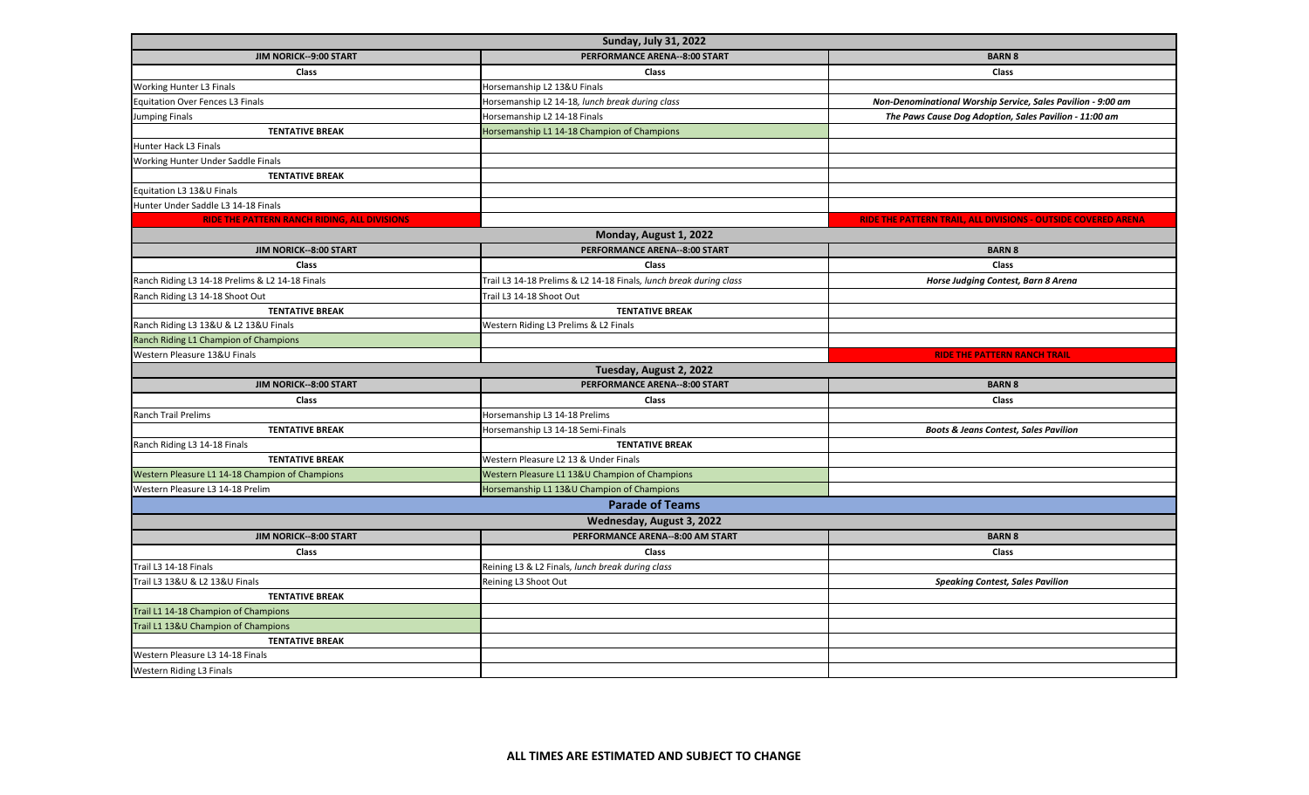| <b>Sunday, July 31, 2022</b>                        |                                                                    |                                                               |  |  |
|-----------------------------------------------------|--------------------------------------------------------------------|---------------------------------------------------------------|--|--|
| JIM NORICK--9:00 START                              | PERFORMANCE ARENA--8:00 START                                      | <b>BARN 8</b>                                                 |  |  |
| <b>Class</b>                                        | <b>Class</b>                                                       | <b>Class</b>                                                  |  |  |
| <b>Working Hunter L3 Finals</b>                     | Horsemanship L2 13&U Finals                                        |                                                               |  |  |
| <b>Equitation Over Fences L3 Finals</b>             | Horsemanship L2 14-18, lunch break during class                    | Non-Denominational Worship Service, Sales Pavilion - 9:00 am  |  |  |
| <b>Jumping Finals</b>                               | Horsemanship L2 14-18 Finals                                       | The Paws Cause Dog Adoption, Sales Pavilion - 11:00 am        |  |  |
| <b>TENTATIVE BREAK</b>                              | Horsemanship L1 14-18 Champion of Champions                        |                                                               |  |  |
| Hunter Hack L3 Finals                               |                                                                    |                                                               |  |  |
| Working Hunter Under Saddle Finals                  |                                                                    |                                                               |  |  |
| <b>TENTATIVE BREAK</b>                              |                                                                    |                                                               |  |  |
| Equitation L3 13&U Finals                           |                                                                    |                                                               |  |  |
| Hunter Under Saddle L3 14-18 Finals                 |                                                                    |                                                               |  |  |
| <b>RIDE THE PATTERN RANCH RIDING, ALL DIVISIONS</b> |                                                                    | RIDE THE PATTERN TRAIL, ALL DIVISIONS - OUTSIDE COVERED ARENA |  |  |
|                                                     | Monday, August 1, 2022                                             |                                                               |  |  |
| JIM NORICK--8:00 START                              | PERFORMANCE ARENA--8:00 START                                      | <b>BARN 8</b>                                                 |  |  |
| <b>Class</b>                                        | <b>Class</b>                                                       | <b>Class</b>                                                  |  |  |
| Ranch Riding L3 14-18 Prelims & L2 14-18 Finals     | Trail L3 14-18 Prelims & L2 14-18 Finals, lunch break during class | Horse Judging Contest, Barn 8 Arena                           |  |  |
| Ranch Riding L3 14-18 Shoot Out                     | Trail L3 14-18 Shoot Out                                           |                                                               |  |  |
| <b>TENTATIVE BREAK</b>                              | <b>TENTATIVE BREAK</b>                                             |                                                               |  |  |
| Ranch Riding L3 13&U & L2 13&U Finals               | Western Riding L3 Prelims & L2 Finals                              |                                                               |  |  |
| Ranch Riding L1 Champion of Champions               |                                                                    |                                                               |  |  |
| Western Pleasure 13&U Finals                        |                                                                    | <b>RIDE THE PATTERN RANCH TRAIL</b>                           |  |  |
|                                                     | Tuesday, August 2, 2022                                            |                                                               |  |  |
| JIM NORICK--8:00 START                              | PERFORMANCE ARENA--8:00 START                                      | <b>BARN 8</b>                                                 |  |  |
| Class                                               | Class                                                              | Class                                                         |  |  |
| <b>Ranch Trail Prelims</b>                          | Horsemanship L3 14-18 Prelims                                      |                                                               |  |  |
| <b>TENTATIVE BREAK</b>                              | Horsemanship L3 14-18 Semi-Finals                                  | <b>Boots &amp; Jeans Contest, Sales Pavilion</b>              |  |  |
| Ranch Riding L3 14-18 Finals                        | <b>TENTATIVE BREAK</b>                                             |                                                               |  |  |
| <b>TENTATIVE BREAK</b>                              | Western Pleasure L2 13 & Under Finals                              |                                                               |  |  |
| Western Pleasure L1 14-18 Champion of Champions     | Western Pleasure L1 13&U Champion of Champions                     |                                                               |  |  |
| Western Pleasure L3 14-18 Prelim                    | Horsemanship L1 13&U Champion of Champions                         |                                                               |  |  |
|                                                     | <b>Parade of Teams</b>                                             |                                                               |  |  |
| Wednesday, August 3, 2022                           |                                                                    |                                                               |  |  |
| JIM NORICK--8:00 START                              | PERFORMANCE ARENA--8:00 AM START                                   | <b>BARN 8</b>                                                 |  |  |
| Class                                               | <b>Class</b>                                                       | Class                                                         |  |  |
| Trail L3 14-18 Finals                               | Reining L3 & L2 Finals, lunch break during class                   |                                                               |  |  |
| Trail L3 13&U & L2 13&U Finals                      | Reining L3 Shoot Out                                               | <b>Speaking Contest, Sales Pavilion</b>                       |  |  |
| <b>TENTATIVE BREAK</b>                              |                                                                    |                                                               |  |  |
| Trail L1 14-18 Champion of Champions                |                                                                    |                                                               |  |  |
| Trail L1 13&U Champion of Champions                 |                                                                    |                                                               |  |  |
| <b>TENTATIVE BREAK</b>                              |                                                                    |                                                               |  |  |
| Western Pleasure L3 14-18 Finals                    |                                                                    |                                                               |  |  |
| <b>Western Riding L3 Finals</b>                     |                                                                    |                                                               |  |  |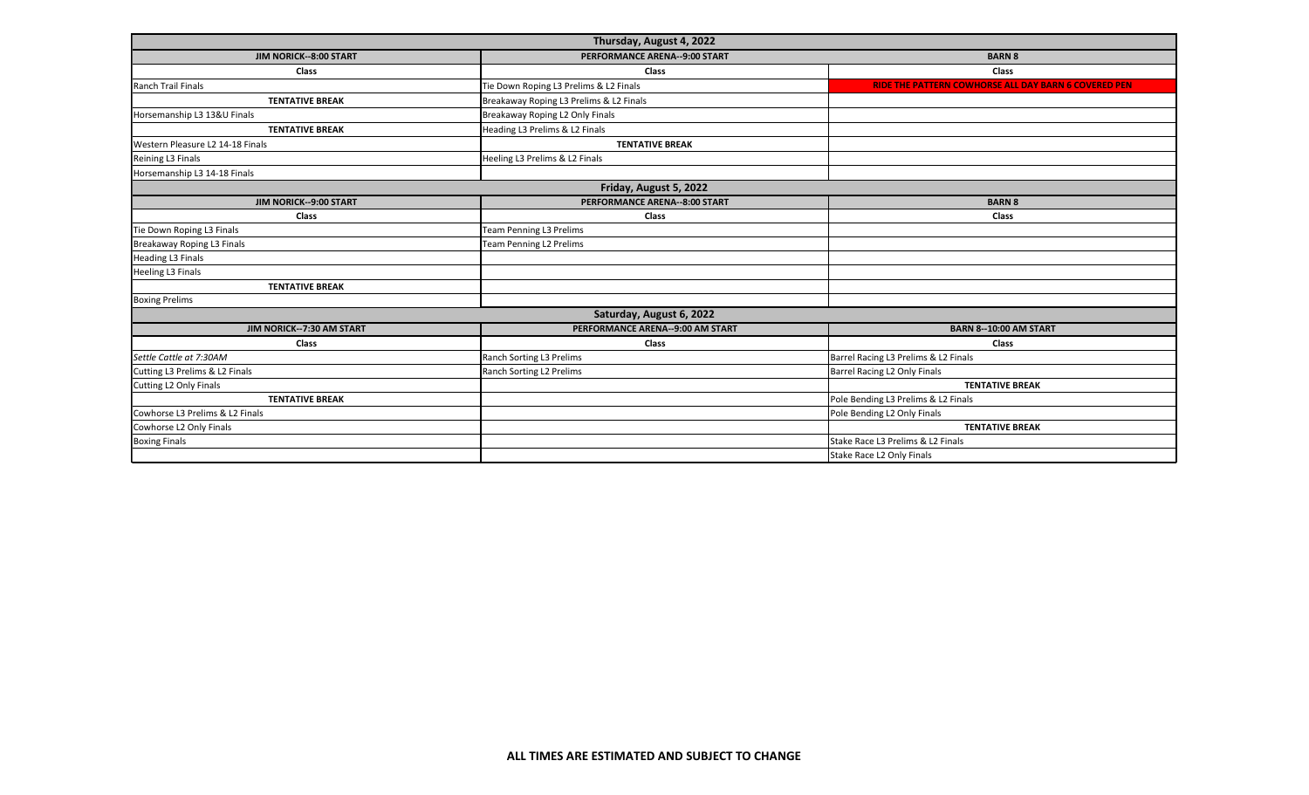| Thursday, August 4, 2022          |                                         |                                                             |  |  |
|-----------------------------------|-----------------------------------------|-------------------------------------------------------------|--|--|
| JIM NORICK--8:00 START            | PERFORMANCE ARENA--9:00 START           | <b>BARN 8</b>                                               |  |  |
| Class                             | Class                                   | Class                                                       |  |  |
| Ranch Trail Finals                | Tie Down Roping L3 Prelims & L2 Finals  | <b>RIDE THE PATTERN COWHORSE ALL DAY BARN 6 COVERED PEN</b> |  |  |
| <b>TENTATIVE BREAK</b>            | Breakaway Roping L3 Prelims & L2 Finals |                                                             |  |  |
| Horsemanship L3 13&U Finals       | Breakaway Roping L2 Only Finals         |                                                             |  |  |
| <b>TENTATIVE BREAK</b>            | Heading L3 Prelims & L2 Finals          |                                                             |  |  |
| Western Pleasure L2 14-18 Finals  | <b>TENTATIVE BREAK</b>                  |                                                             |  |  |
| Reining L3 Finals                 | Heeling L3 Prelims & L2 Finals          |                                                             |  |  |
| Horsemanship L3 14-18 Finals      |                                         |                                                             |  |  |
| Friday, August 5, 2022            |                                         |                                                             |  |  |
| JIM NORICK--9:00 START            | <b>PERFORMANCE ARENA--8:00 START</b>    | <b>BARN 8</b>                                               |  |  |
| Class                             | Class                                   | Class                                                       |  |  |
| Tie Down Roping L3 Finals         | Team Penning L3 Prelims                 |                                                             |  |  |
| <b>Breakaway Roping L3 Finals</b> | <b>Team Penning L2 Prelims</b>          |                                                             |  |  |
| <b>Heading L3 Finals</b>          |                                         |                                                             |  |  |
| <b>Heeling L3 Finals</b>          |                                         |                                                             |  |  |
| <b>TENTATIVE BREAK</b>            |                                         |                                                             |  |  |
| <b>Boxing Prelims</b>             |                                         |                                                             |  |  |
| Saturday, August 6, 2022          |                                         |                                                             |  |  |
| JIM NORICK--7:30 AM START         | PERFORMANCE ARENA--9:00 AM START        | <b>BARN 8--10:00 AM START</b>                               |  |  |
| Class                             | <b>Class</b>                            | <b>Class</b>                                                |  |  |
| Settle Cattle at 7:30AM           | Ranch Sorting L3 Prelims                | Barrel Racing L3 Prelims & L2 Finals                        |  |  |
| Cutting L3 Prelims & L2 Finals    | Ranch Sorting L2 Prelims                | Barrel Racing L2 Only Finals                                |  |  |
| Cutting L2 Only Finals            |                                         | <b>TENTATIVE BREAK</b>                                      |  |  |
| <b>TENTATIVE BREAK</b>            |                                         | Pole Bending L3 Prelims & L2 Finals                         |  |  |
| Cowhorse L3 Prelims & L2 Finals   |                                         | Pole Bending L2 Only Finals                                 |  |  |
| Cowhorse L2 Only Finals           |                                         | <b>TENTATIVE BREAK</b>                                      |  |  |
| <b>Boxing Finals</b>              |                                         | Stake Race L3 Prelims & L2 Finals                           |  |  |
|                                   |                                         | Stake Race L2 Only Finals                                   |  |  |